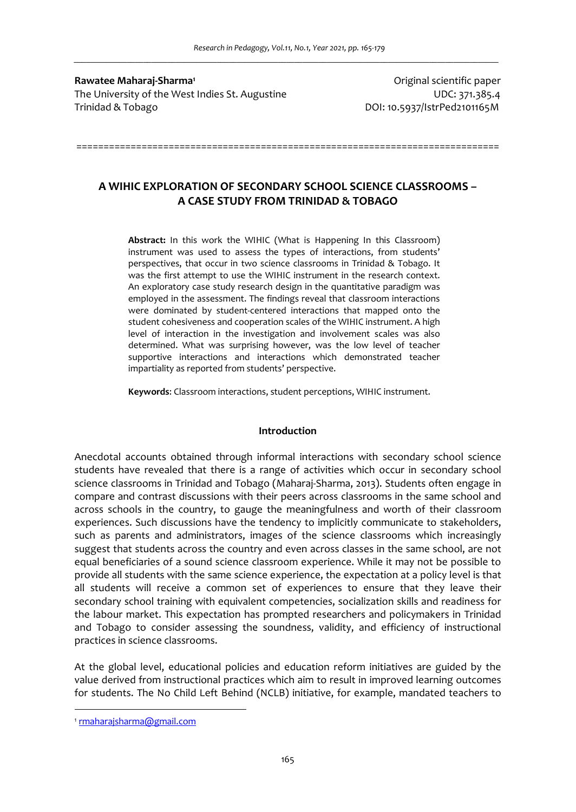**Rawatee Maharaj-Sharma<sup>1</sup>** The University of the West Indies St. Augustine UDC: 371.385.4 Trinidad & Tobago DOI: 10.5937/IstrPed2101165M

Original scientific paper

# **A WIHIC EXPLORATION OF SECONDARY SCHOOL SCIENCE CLASSROOMS – A CASE STUDY FROM TRINIDAD & TOBAGO**

==============================================================================

**Abstract:** In this work the WIHIC (What is Happening In this Classroom) instrument was used to assess the types of interactions, from students' perspectives, that occur in two science classrooms in Trinidad & Tobago. It was the first attempt to use the WIHIC instrument in the research context. An exploratory case study research design in the quantitative paradigm was employed in the assessment. The findings reveal that classroom interactions were dominated by student-centered interactions that mapped onto the student cohesiveness and cooperation scales of the WIHIC instrument. A high level of interaction in the investigation and involvement scales was also determined. What was surprising however, was the low level of teacher supportive interactions and interactions which demonstrated teacher impartiality as reported from students' perspective.

**Keywords**: Classroom interactions, student perceptions, WIHIC instrument.

#### **Introduction**

Anecdotal accounts obtained through informal interactions with secondary school science students have revealed that there is a range of activities which occur in secondary school science classrooms in Trinidad and Tobago (Maharaj-Sharma, 2013). Students often engage in compare and contrast discussions with their peers across classrooms in the same school and across schools in the country, to gauge the meaningfulness and worth of their classroom experiences. Such discussions have the tendency to implicitly communicate to stakeholders, such as parents and administrators, images of the science classrooms which increasingly suggest that students across the country and even across classes in the same school, are not equal beneficiaries of a sound science classroom experience. While it may not be possible to provide all students with the same science experience, the expectation at a policy level is that all students will receive a common set of experiences to ensure that they leave their secondary school training with equivalent competencies, socialization skills and readiness for the labour market. This expectation has prompted researchers and policymakers in Trinidad and Tobago to consider assessing the soundness, validity, and efficiency of instructional practices in science classrooms.

At the global level, educational policies and education reform initiatives are guided by the value derived from instructional practices which aim to result in improved learning outcomes for students. The No Child Left Behind (NCLB) initiative, for example, mandated teachers to

<sup>1</sup> rmaharajsharma@gmail.com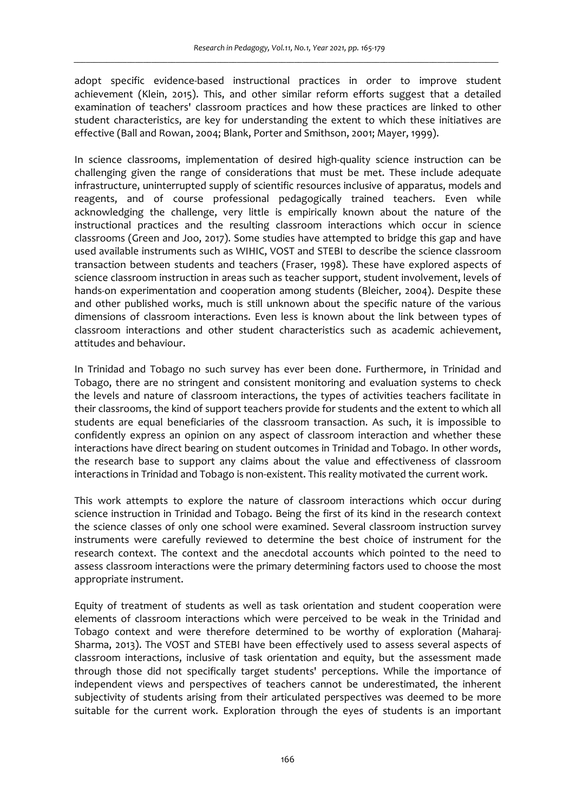adopt specific evidence-based instructional practices in order to improve student achievement (Klein, 2015). This, and other similar reform efforts suggest that a detailed examination of teachers' classroom practices and how these practices are linked to other student characteristics, are key for understanding the extent to which these initiatives are effective (Ball and Rowan, 2004; Blank, Porter and Smithson, 2001; Mayer, 1999).

In science classrooms, implementation of desired high-quality science instruction can be challenging given the range of considerations that must be met. These include adequate infrastructure, uninterrupted supply of scientific resources inclusive of apparatus, models and reagents, and of course professional pedagogically trained teachers. Even while acknowledging the challenge, very little is empirically known about the nature of the instructional practices and the resulting classroom interactions which occur in science classrooms (Green and Joo, 2017). Some studies have attempted to bridge this gap and have used available instruments such as WIHIC, VOST and STEBI to describe the science classroom transaction between students and teachers (Fraser, 1998). These have explored aspects of science classroom instruction in areas such as teacher support, student involvement, levels of hands-on experimentation and cooperation among students (Bleicher, 2004). Despite these and other published works, much is still unknown about the specific nature of the various dimensions of classroom interactions. Even less is known about the link between types of classroom interactions and other student characteristics such as academic achievement, attitudes and behaviour.

In Trinidad and Tobago no such survey has ever been done. Furthermore, in Trinidad and Tobago, there are no stringent and consistent monitoring and evaluation systems to check the levels and nature of classroom interactions, the types of activities teachers facilitate in their classrooms, the kind of support teachers provide for students and the extent to which all students are equal beneficiaries of the classroom transaction. As such, it is impossible to confidently express an opinion on any aspect of classroom interaction and whether these interactions have direct bearing on student outcomes in Trinidad and Tobago. In other words, the research base to support any claims about the value and effectiveness of classroom interactions in Trinidad and Tobago is non-existent. This reality motivated the current work.

This work attempts to explore the nature of classroom interactions which occur during science instruction in Trinidad and Tobago. Being the first of its kind in the research context the science classes of only one school were examined. Several classroom instruction survey instruments were carefully reviewed to determine the best choice of instrument for the research context. The context and the anecdotal accounts which pointed to the need to assess classroom interactions were the primary determining factors used to choose the most appropriate instrument.

Equity of treatment of students as well as task orientation and student cooperation were elements of classroom interactions which were perceived to be weak in the Trinidad and Tobago context and were therefore determined to be worthy of exploration (Maharaj-Sharma, 2013). The VOST and STEBI have been effectively used to assess several aspects of classroom interactions, inclusive of task orientation and equity, but the assessment made through those did not specifically target students' perceptions. While the importance of independent views and perspectives of teachers cannot be underestimated, the inherent subjectivity of students arising from their articulated perspectives was deemed to be more suitable for the current work. Exploration through the eyes of students is an important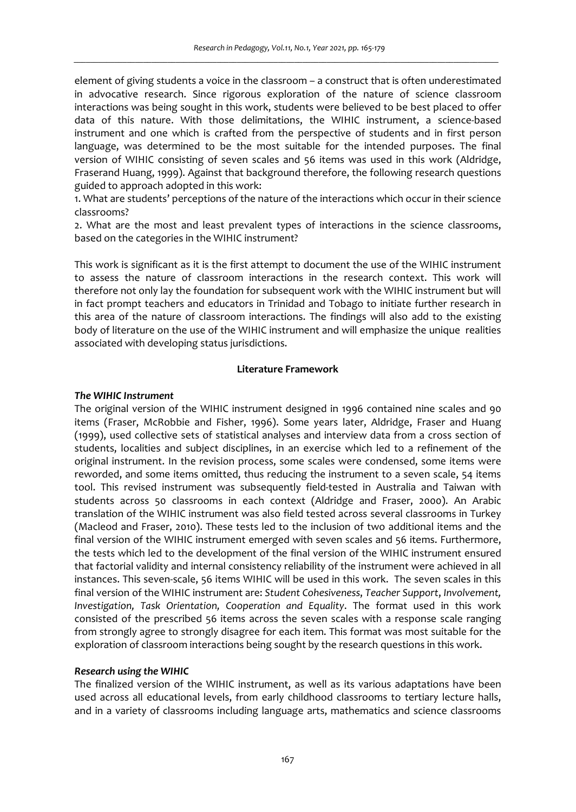element of giving students a voice in the classroom – a construct that is often underestimated in advocative research. Since rigorous exploration of the nature of science classroom interactions was being sought in this work, students were believed to be best placed to offer data of this nature. With those delimitations, the WIHIC instrument, a science-based instrument and one which is crafted from the perspective of students and in first person language, was determined to be the most suitable for the intended purposes. The final version of WIHIC consisting of seven scales and 56 items was used in this work (Aldridge, Fraserand Huang, 1999). Against that background therefore, the following research questions guided to approach adopted in this work:

1. What are students' perceptions of the nature of the interactions which occur in their science classrooms?

2. What are the most and least prevalent types of interactions in the science classrooms, based on the categories in the WIHIC instrument?

This work is significant as it is the first attempt to document the use of the WIHIC instrument to assess the nature of classroom interactions in the research context. This work will therefore not only lay the foundation for subsequent work with the WIHIC instrument but will in fact prompt teachers and educators in Trinidad and Tobago to initiate further research in this area of the nature of classroom interactions. The findings will also add to the existing body of literature on the use of the WIHIC instrument and will emphasize the unique realities associated with developing status jurisdictions.

#### **Literature Framework**

## *The WIHIC Instrument*

The original version of the WIHIC instrument designed in 1996 contained nine scales and 90 items (Fraser, McRobbie and Fisher, 1996). Some years later, Aldridge, Fraser and Huang (1999), used collective sets of statistical analyses and interview data from a cross section of students, localities and subject disciplines, in an exercise which led to a refinement of the original instrument. In the revision process, some scales were condensed, some items were reworded, and some items omitted, thus reducing the instrument to a seven scale, 54 items tool. This revised instrument was subsequently field-tested in Australia and Taiwan with students across 50 classrooms in each context (Aldridge and Fraser, 2000). An Arabic translation of the WIHIC instrument was also field tested across several classrooms in Turkey (Macleod and Fraser, 2010). These tests led to the inclusion of two additional items and the final version of the WIHIC instrument emerged with seven scales and 56 items. Furthermore, the tests which led to the development of the final version of the WIHIC instrument ensured that factorial validity and internal consistency reliability of the instrument were achieved in all instances. This seven-scale, 56 items WIHIC will be used in this work. The seven scales in this final version of the WIHIC instrument are: *Student Cohesiveness*, *Teacher Support*, *Involvement, Investigation, Task Orientation, Cooperation and Equality*. The format used in this work consisted of the prescribed 56 items across the seven scales with a response scale ranging from strongly agree to strongly disagree for each item. This format was most suitable for the exploration of classroom interactions being sought by the research questions in this work.

#### *Research using the WIHIC*

The finalized version of the WIHIC instrument, as well as its various adaptations have been used across all educational levels, from early childhood classrooms to tertiary lecture halls, and in a variety of classrooms including language arts, mathematics and science classrooms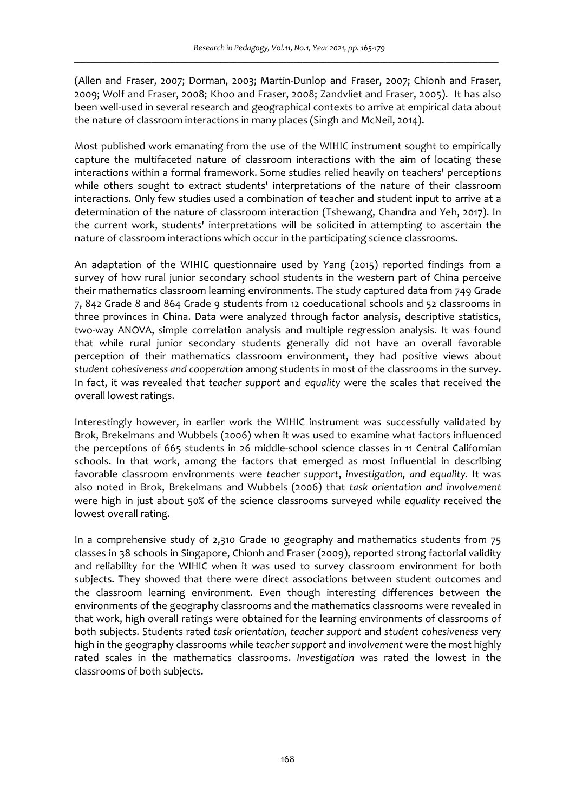(Allen and Fraser, 2007; Dorman, 2003; Martin-Dunlop and Fraser, 2007; Chionh and Fraser, 2009; Wolf and Fraser, 2008; Khoo and Fraser, 2008; Zandvliet and Fraser, 2005). It has also been well-used in several research and geographical contexts to arrive at empirical data about the nature of classroom interactions in many places (Singh and McNeil, 2014).

Most published work emanating from the use of the WIHIC instrument sought to empirically capture the multifaceted nature of classroom interactions with the aim of locating these interactions within a formal framework. Some studies relied heavily on teachers' perceptions while others sought to extract students' interpretations of the nature of their classroom interactions. Only few studies used a combination of teacher and student input to arrive at a determination of the nature of classroom interaction (Tshewang, Chandra and Yeh, 2017). In the current work, students' interpretations will be solicited in attempting to ascertain the nature of classroom interactions which occur in the participating science classrooms.

An adaptation of the WIHIC questionnaire used by Yang (2015) reported findings from a survey of how rural junior secondary school students in the western part of China perceive their mathematics classroom learning environments. The study captured data from 749 Grade 7, 842 Grade 8 and 864 Grade 9 students from 12 coeducational schools and 52 classrooms in three provinces in China. Data were analyzed through factor analysis, descriptive statistics, two-way ANOVA, simple correlation analysis and multiple regression analysis. It was found that while rural junior secondary students generally did not have an overall favorable perception of their mathematics classroom environment, they had positive views about *student cohesiveness and cooperation* among students in most of the classrooms in the survey. In fact, it was revealed that *teacher support* and *equality* were the scales that received the overall lowest ratings.

Interestingly however, in earlier work the WIHIC instrument was successfully validated by Brok, Brekelmans and Wubbels (2006) when it was used to examine what factors influenced the perceptions of 665 students in 26 middle-school science classes in 11 Central Californian schools. In that work, among the factors that emerged as most influential in describing favorable classroom environments were *teacher support*, *investigation, and equality.* It was also noted in Brok, Brekelmans and Wubbels (2006) that *task orientation and involvement* were high in just about 50% of the science classrooms surveyed while *equality* received the lowest overall rating.

In a comprehensive study of 2,310 Grade 10 geography and mathematics students from 75 classes in 38 schools in Singapore, Chionh and Fraser (2009), reported strong factorial validity and reliability for the WIHIC when it was used to survey classroom environment for both subjects. They showed that there were direct associations between student outcomes and the classroom learning environment. Even though interesting differences between the environments of the geography classrooms and the mathematics classrooms were revealed in that work, high overall ratings were obtained for the learning environments of classrooms of both subjects. Students rated *task orientation*, *teacher support* and *student cohesiveness* very high in the geography classrooms while *teacher support* and *involvement* were the most highly rated scales in the mathematics classrooms. *Investigation* was rated the lowest in the classrooms of both subjects.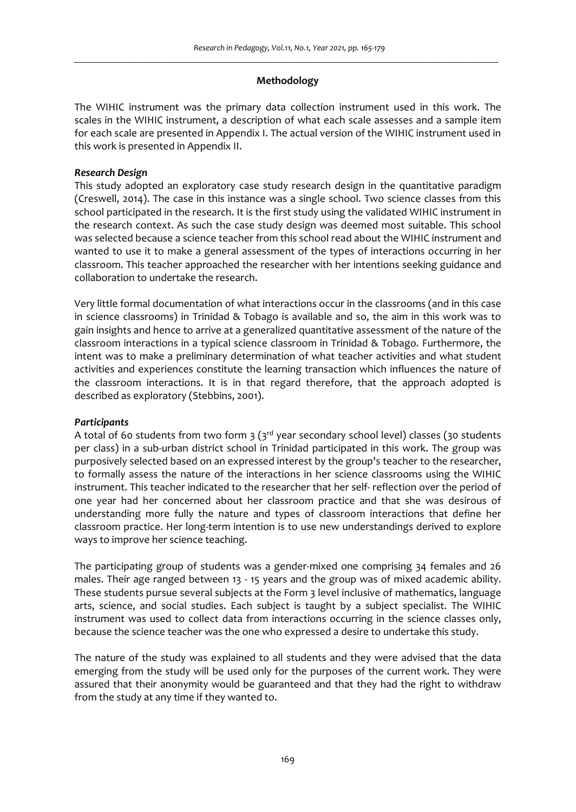## **Methodology**

The WIHIC instrument was the primary data collection instrument used in this work. The scales in the WIHIC instrument, a description of what each scale assesses and a sample item for each scale are presented in Appendix I. The actual version of the WIHIC instrument used in this work is presented in Appendix II.

## *Research Design*

This study adopted an exploratory case study research design in the quantitative paradigm (Creswell, 2014). The case in this instance was a single school. Two science classes from this school participated in the research. It is the first study using the validated WIHIC instrument in the research context. As such the case study design was deemed most suitable. This school was selected because a science teacher from this school read about the WIHIC instrument and wanted to use it to make a general assessment of the types of interactions occurring in her classroom. This teacher approached the researcher with her intentions seeking guidance and collaboration to undertake the research.

Very little formal documentation of what interactions occur in the classrooms (and in this case in science classrooms) in Trinidad & Tobago is available and so, the aim in this work was to gain insights and hence to arrive at a generalized quantitative assessment of the nature of the classroom interactions in a typical science classroom in Trinidad & Tobago. Furthermore, the intent was to make a preliminary determination of what teacher activities and what student activities and experiences constitute the learning transaction which influences the nature of the classroom interactions. It is in that regard therefore, that the approach adopted is described as exploratory (Stebbins, 2001).

# *Participants*

A total of 60 students from two form  $3$  ( $3<sup>rd</sup>$  year secondary school level) classes (30 students per class) in a sub-urban district school in Trinidad participated in this work. The group was purposively selected based on an expressed interest by the group's teacher to the researcher, to formally assess the nature of the interactions in her science classrooms using the WIHIC instrument. This teacher indicated to the researcher that her self- reflection over the period of one year had her concerned about her classroom practice and that she was desirous of understanding more fully the nature and types of classroom interactions that define her classroom practice. Her long-term intention is to use new understandings derived to explore ways to improve her science teaching.

The participating group of students was a gender-mixed one comprising 34 females and 26 males. Their age ranged between 13 - 15 years and the group was of mixed academic ability. These students pursue several subjects at the Form 3 level inclusive of mathematics, language arts, science, and social studies. Each subject is taught by a subject specialist. The WIHIC instrument was used to collect data from interactions occurring in the science classes only, because the science teacher was the one who expressed a desire to undertake this study.

The nature of the study was explained to all students and they were advised that the data emerging from the study will be used only for the purposes of the current work. They were assured that their anonymity would be guaranteed and that they had the right to withdraw from the study at any time if they wanted to.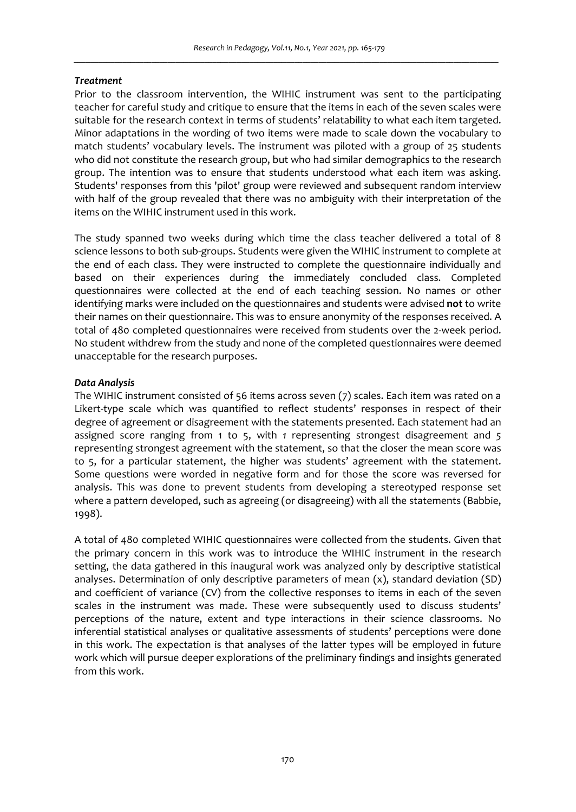### *Treatment*

Prior to the classroom intervention, the WIHIC instrument was sent to the participating teacher for careful study and critique to ensure that the items in each of the seven scales were suitable for the research context in terms of students' relatability to what each item targeted. Minor adaptations in the wording of two items were made to scale down the vocabulary to match students' vocabulary levels. The instrument was piloted with a group of 25 students who did not constitute the research group, but who had similar demographics to the research group. The intention was to ensure that students understood what each item was asking. Students' responses from this 'pilot' group were reviewed and subsequent random interview with half of the group revealed that there was no ambiguity with their interpretation of the items on the WIHIC instrument used in this work.

The study spanned two weeks during which time the class teacher delivered a total of 8 science lessons to both sub-groups. Students were given the WIHIC instrument to complete at the end of each class. They were instructed to complete the questionnaire individually and based on their experiences during the immediately concluded class. Completed questionnaires were collected at the end of each teaching session. No names or other identifying marks were included on the questionnaires and students were advised **not** to write their names on their questionnaire. This was to ensure anonymity of the responses received. A total of 480 completed questionnaires were received from students over the 2-week period. No student withdrew from the study and none of the completed questionnaires were deemed unacceptable for the research purposes.

## *Data Analysis*

The WIHIC instrument consisted of 56 items across seven (7) scales. Each item was rated on a Likert-type scale which was quantified to reflect students' responses in respect of their degree of agreement or disagreement with the statements presented. Each statement had an assigned score ranging from 1 to 5, with *1* representing strongest disagreement and *5*  representing strongest agreement with the statement, so that the closer the mean score was to 5, for a particular statement, the higher was students' agreement with the statement. Some questions were worded in negative form and for those the score was reversed for analysis. This was done to prevent students from developing a stereotyped response set where a pattern developed, such as agreeing (or disagreeing) with all the statements (Babbie, 1998).

A total of 480 completed WIHIC questionnaires were collected from the students. Given that the primary concern in this work was to introduce the WIHIC instrument in the research setting, the data gathered in this inaugural work was analyzed only by descriptive statistical analyses. Determination of only descriptive parameters of mean (x), standard deviation (SD) and coefficient of variance (CV) from the collective responses to items in each of the seven scales in the instrument was made. These were subsequently used to discuss students' perceptions of the nature, extent and type interactions in their science classrooms. No inferential statistical analyses or qualitative assessments of students' perceptions were done in this work. The expectation is that analyses of the latter types will be employed in future work which will pursue deeper explorations of the preliminary findings and insights generated from this work.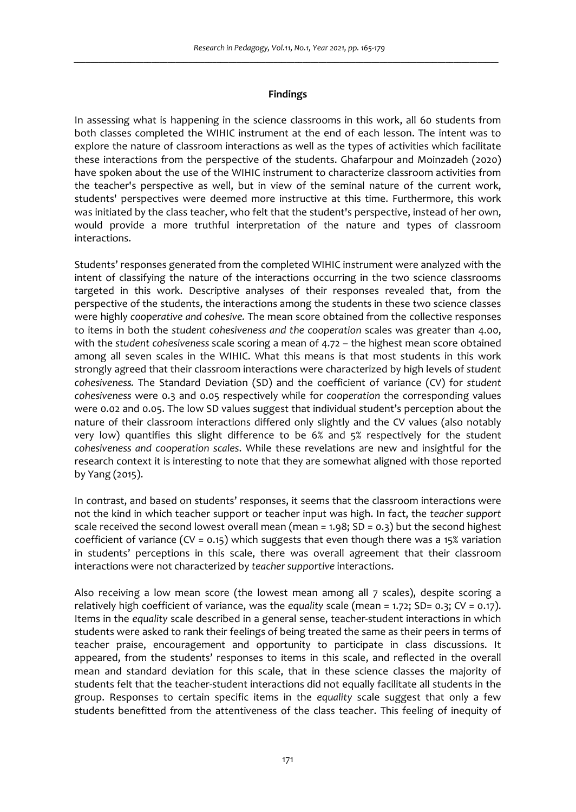### **Findings**

In assessing what is happening in the science classrooms in this work, all 60 students from both classes completed the WIHIC instrument at the end of each lesson. The intent was to explore the nature of classroom interactions as well as the types of activities which facilitate these interactions from the perspective of the students. Ghafarpour and Moinzadeh (2020) have spoken about the use of the WIHIC instrument to characterize classroom activities from the teacher's perspective as well, but in view of the seminal nature of the current work, students' perspectives were deemed more instructive at this time. Furthermore, this work was initiated by the class teacher, who felt that the student's perspective, instead of her own, would provide a more truthful interpretation of the nature and types of classroom interactions.

Students' responses generated from the completed WIHIC instrument were analyzed with the intent of classifying the nature of the interactions occurring in the two science classrooms targeted in this work. Descriptive analyses of their responses revealed that, from the perspective of the students, the interactions among the students in these two science classes were highly *cooperative and cohesive.* The mean score obtained from the collective responses to items in both the *student cohesiveness and the cooperation* scales was greater than 4.00, with the *student cohesiveness* scale scoring a mean of 4.72 – the highest mean score obtained among all seven scales in the WIHIC. What this means is that most students in this work strongly agreed that their classroom interactions were characterized by high levels of *student cohesiveness.* The Standard Deviation (SD) and the coefficient of variance (CV) for *student cohesiveness* were 0.3 and 0.05 respectively while for *cooperation* the corresponding values were 0.02 and 0.05. The low SD values suggest that individual student's perception about the nature of their classroom interactions differed only slightly and the CV values (also notably very low) quantifies this slight difference to be 6% and 5% respectively for the student *cohesiveness and cooperation scales*. While these revelations are new and insightful for the research context it is interesting to note that they are somewhat aligned with those reported by Yang (2015).

In contrast, and based on students' responses, it seems that the classroom interactions were not the kind in which teacher support or teacher input was high. In fact, the *teacher support* scale received the second lowest overall mean (mean =  $1.98$ ; SD =  $0.3$ ) but the second highest coefficient of variance (CV = 0.15) which suggests that even though there was a 15% variation in students' perceptions in this scale, there was overall agreement that their classroom interactions were not characterized by *teacher supportive* interactions.

Also receiving a low mean score (the lowest mean among all 7 scales), despite scoring a relatively high coefficient of variance, was the *equality* scale (mean = 1.72; SD= 0.3; CV = 0.17). Items in the *equality* scale described in a general sense, teacher-student interactions in which students were asked to rank their feelings of being treated the same as their peers in terms of teacher praise, encouragement and opportunity to participate in class discussions. It appeared, from the students' responses to items in this scale, and reflected in the overall mean and standard deviation for this scale, that in these science classes the majority of students felt that the teacher-student interactions did not equally facilitate all students in the group. Responses to certain specific items in the *equality* scale suggest that only a few students benefitted from the attentiveness of the class teacher. This feeling of inequity of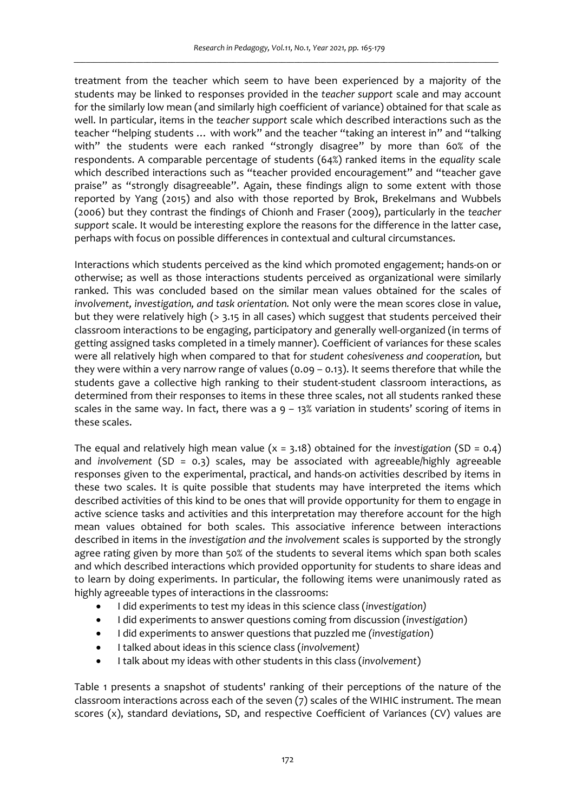treatment from the teacher which seem to have been experienced by a majority of the students may be linked to responses provided in the *teacher support* scale and may account for the similarly low mean (and similarly high coefficient of variance) obtained for that scale as well. In particular, items in the *teacher support* scale which described interactions such as the teacher "helping students … with work" and the teacher "taking an interest in" and "talking with" the students were each ranked "strongly disagree" by more than 60% of the respondents. A comparable percentage of students (64%) ranked items in the *equality* scale which described interactions such as "teacher provided encouragement" and "teacher gave praise" as "strongly disagreeable". Again, these findings align to some extent with those reported by Yang (2015) and also with those reported by Brok, Brekelmans and Wubbels (2006) but they contrast the findings of Chionh and Fraser (2009), particularly in the *teacher support* scale. It would be interesting explore the reasons for the difference in the latter case, perhaps with focus on possible differences in contextual and cultural circumstances.

Interactions which students perceived as the kind which promoted engagement; hands-on or otherwise; as well as those interactions students perceived as organizational were similarly ranked. This was concluded based on the similar mean values obtained for the scales of *involvement, investigation, and task orientation.* Not only were the mean scores close in value, but they were relatively high (> 3.15 in all cases) which suggest that students perceived their classroom interactions to be engaging, participatory and generally well-organized (in terms of getting assigned tasks completed in a timely manner). Coefficient of variances for these scales were all relatively high when compared to that for *student cohesiveness and cooperation,* but they were within a very narrow range of values (0.09 – 0.13). It seems therefore that while the students gave a collective high ranking to their student-student classroom interactions, as determined from their responses to items in these three scales, not all students ranked these scales in the same way. In fact, there was a  $9 - 13\%$  variation in students' scoring of items in these scales.

The equal and relatively high mean value  $(x = 3.18)$  obtained for the *investigation* (SD = 0.4) and *involvement* (SD = 0.3) scales, may be associated with agreeable/highly agreeable responses given to the experimental, practical, and hands-on activities described by items in these two scales. It is quite possible that students may have interpreted the items which described activities of this kind to be ones that will provide opportunity for them to engage in active science tasks and activities and this interpretation may therefore account for the high mean values obtained for both scales. This associative inference between interactions described in items in the *investigation and the involvement* scales is supported by the strongly agree rating given by more than 50% of the students to several items which span both scales and which described interactions which provided opportunity for students to share ideas and to learn by doing experiments. In particular, the following items were unanimously rated as highly agreeable types of interactions in the classrooms:

- I did experiments to test my ideas in this science class (*investigation)*
- I did experiments to answer questions coming from discussion (*investigation*)
- I did experiments to answer questions that puzzled me *(investigation*)
- I talked about ideas in this science class (*involvement)*
- I talk about my ideas with other students in this class (*involvement*)

Table 1 presents a snapshot of students' ranking of their perceptions of the nature of the classroom interactions across each of the seven (7) scales of the WIHIC instrument. The mean scores (x), standard deviations, SD, and respective Coefficient of Variances (CV) values are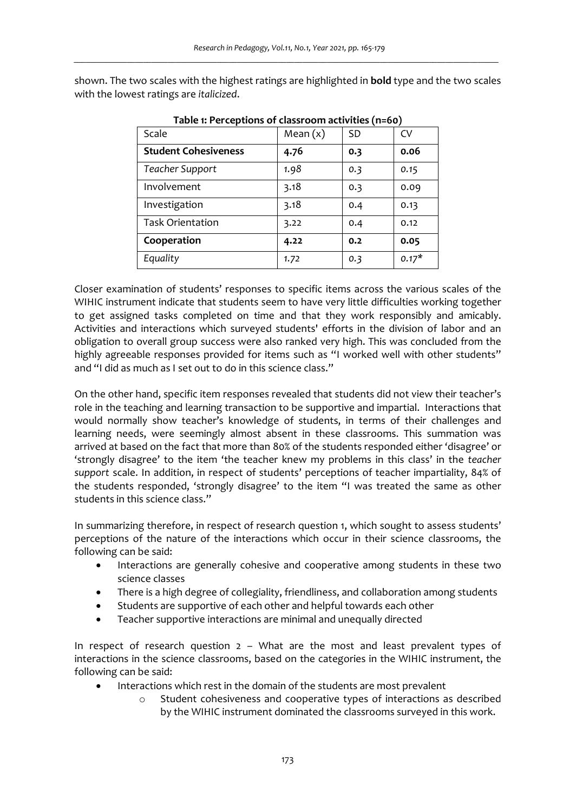shown. The two scales with the highest ratings are highlighted in **bold** type and the two scales with the lowest ratings are *italicized*.

| Scale                       | Mean $(x)$ | SD  | CV      |
|-----------------------------|------------|-----|---------|
| <b>Student Cohesiveness</b> | 4.76       | 0.3 | 0.06    |
| Teacher Support             | 1.98       | 0.3 | 0.15    |
| Involvement                 | 3.18       | 0.3 | 0.09    |
| Investigation               | 3.18       | 0.4 | 0.13    |
| <b>Task Orientation</b>     | 3.22       | 0.4 | 0.12    |
| Cooperation                 | 4.22       | 0.2 | 0.05    |
| Equality                    | 1.72       | 0.3 | $0.17*$ |

**Table 1: Perceptions of classroom activities (n=60)**

Closer examination of students' responses to specific items across the various scales of the WIHIC instrument indicate that students seem to have very little difficulties working together to get assigned tasks completed on time and that they work responsibly and amicably. Activities and interactions which surveyed students' efforts in the division of labor and an obligation to overall group success were also ranked very high. This was concluded from the highly agreeable responses provided for items such as "I worked well with other students" and "I did as much as I set out to do in this science class."

On the other hand, specific item responses revealed that students did not view their teacher's role in the teaching and learning transaction to be supportive and impartial. Interactions that would normally show teacher's knowledge of students, in terms of their challenges and learning needs, were seemingly almost absent in these classrooms. This summation was arrived at based on the fact that more than 80% of the students responded either 'disagree' or 'strongly disagree' to the item 'the teacher knew my problems in this class' in the *teacher support* scale. In addition, in respect of students' perceptions of teacher impartiality, 84% of the students responded, 'strongly disagree' to the item "I was treated the same as other students in this science class."

In summarizing therefore, in respect of research question 1, which sought to assess students' perceptions of the nature of the interactions which occur in their science classrooms, the following can be said:

- Interactions are generally cohesive and cooperative among students in these two science classes
- There is a high degree of collegiality, friendliness, and collaboration among students
- Students are supportive of each other and helpful towards each other
- Teacher supportive interactions are minimal and unequally directed

In respect of research question 2 – What are the most and least prevalent types of interactions in the science classrooms, based on the categories in the WIHIC instrument, the following can be said:

- Interactions which rest in the domain of the students are most prevalent
	- o Student cohesiveness and cooperative types of interactions as described by the WIHIC instrument dominated the classrooms surveyed in this work.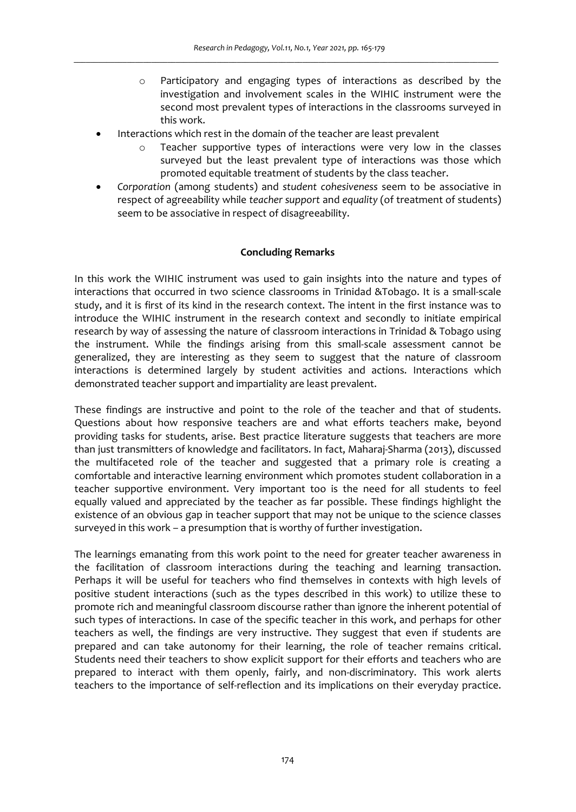- o Participatory and engaging types of interactions as described by the investigation and involvement scales in the WIHIC instrument were the second most prevalent types of interactions in the classrooms surveyed in this work.
- Interactions which rest in the domain of the teacher are least prevalent
	- o Teacher supportive types of interactions were very low in the classes surveyed but the least prevalent type of interactions was those which promoted equitable treatment of students by the class teacher.
- *Corporation* (among students) and *student cohesiveness* seem to be associative in respect of agreeability while *teacher support* and *equality* (of treatment of students) seem to be associative in respect of disagreeability.

# **Concluding Remarks**

In this work the WIHIC instrument was used to gain insights into the nature and types of interactions that occurred in two science classrooms in Trinidad &Tobago. It is a small-scale study, and it is first of its kind in the research context. The intent in the first instance was to introduce the WIHIC instrument in the research context and secondly to initiate empirical research by way of assessing the nature of classroom interactions in Trinidad & Tobago using the instrument. While the findings arising from this small-scale assessment cannot be generalized, they are interesting as they seem to suggest that the nature of classroom interactions is determined largely by student activities and actions. Interactions which demonstrated teacher support and impartiality are least prevalent.

These findings are instructive and point to the role of the teacher and that of students. Questions about how responsive teachers are and what efforts teachers make, beyond providing tasks for students, arise. Best practice literature suggests that teachers are more than just transmitters of knowledge and facilitators. In fact, Maharaj-Sharma (2013), discussed the multifaceted role of the teacher and suggested that a primary role is creating a comfortable and interactive learning environment which promotes student collaboration in a teacher supportive environment. Very important too is the need for all students to feel equally valued and appreciated by the teacher as far possible. These findings highlight the existence of an obvious gap in teacher support that may not be unique to the science classes surveyed in this work – a presumption that is worthy of further investigation.

The learnings emanating from this work point to the need for greater teacher awareness in the facilitation of classroom interactions during the teaching and learning transaction. Perhaps it will be useful for teachers who find themselves in contexts with high levels of positive student interactions (such as the types described in this work) to utilize these to promote rich and meaningful classroom discourse rather than ignore the inherent potential of such types of interactions. In case of the specific teacher in this work, and perhaps for other teachers as well, the findings are very instructive. They suggest that even if students are prepared and can take autonomy for their learning, the role of teacher remains critical. Students need their teachers to show explicit support for their efforts and teachers who are prepared to interact with them openly, fairly, and non-discriminatory. This work alerts teachers to the importance of self-reflection and its implications on their everyday practice.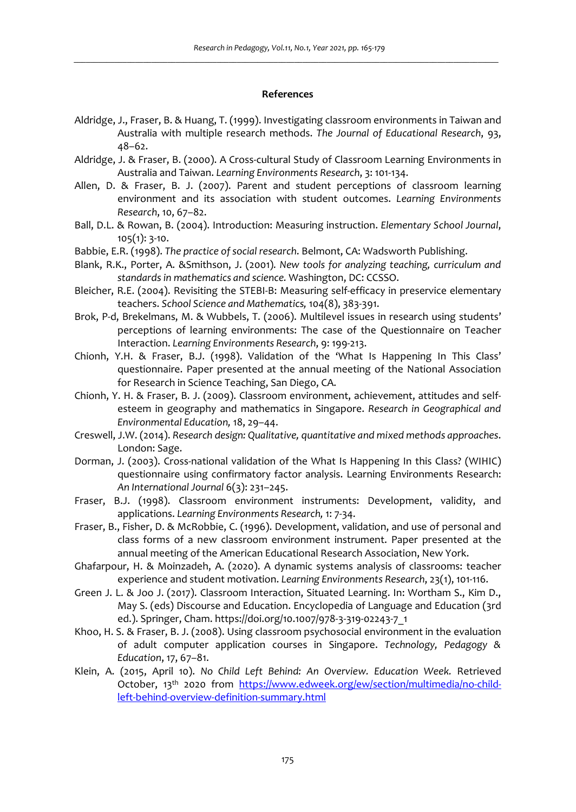#### **References**

- Aldridge, J., Fraser, B. & Huang, T. (1999). Investigating classroom environments in Taiwan and Australia with multiple research methods. *The Journal of Educational Research*, 93, 48–62.
- Aldridge, J. & Fraser, B. (2000). A Cross-cultural Study of Classroom Learning Environments in Australia and Taiwan. *Learning Environments Research*, 3: 101-134.
- Allen, D. & Fraser, B. J. (2007). Parent and student perceptions of classroom learning environment and its association with student outcomes. *Learning Environments Research*, 10, 67–82.
- Ball, D.L. & Rowan, B. (2004). Introduction: Measuring instruction. *Elementary School Journal*, 105(1): 3-10.
- Babbie, E.R. (1998). *The practice of social research*. Belmont, CA: Wadsworth Publishing.
- Blank, R.K., Porter, A. &Smithson, J. (2001)*. New tools for analyzing teaching, curriculum and standards in mathematics and science.* Washington, DC: CCSSO.
- Bleicher, R.E. (2004). Revisiting the STEBI-B: Measuring self-efficacy in preservice elementary teachers. *School Science and Mathematics,* 104(8), 383-391.
- Brok, P-d, Brekelmans, M. & Wubbels, T. (2006). Multilevel issues in research using students' perceptions of learning environments: The case of the Questionnaire on Teacher Interaction. *Learning Environments Research*, 9: 199-213.
- Chionh, Y.H. & Fraser, B.J. (1998). Validation of the 'What Is Happening In This Class' questionnaire. Paper presented at the annual meeting of the National Association for Research in Science Teaching, San Diego, CA.
- Chionh, Y. H. & Fraser, B. J. (2009). Classroom environment, achievement, attitudes and selfesteem in geography and mathematics in Singapore. *Research in Geographical and Environmental Education,* 18, 29–44.
- Creswell, J.W. (2014). *Research design: Qualitative, quantitative and mixed methods approaches*. London: Sage.
- Dorman, J. (2003). Cross-national validation of the What Is Happening In this Class? (WIHIC) questionnaire using confirmatory factor analysis. Learning Environments Research: *An International Journal* 6(3): 231–245.
- Fraser, B.J. (1998). Classroom environment instruments: Development, validity, and applications. *Learning Environments Research,* 1: 7-34.
- Fraser, B., Fisher, D. & McRobbie, C. (1996). Development, validation, and use of personal and class forms of a new classroom environment instrument. Paper presented at the annual meeting of the American Educational Research Association, New York.
- Ghafarpour, H. & Moinzadeh, A. (2020). A dynamic systems analysis of classrooms: teacher experience and student motivation. *Learning Environments Research*, 23(1), 101-116.
- Green J. L. & Joo J. (2017). Classroom Interaction, Situated Learning. In: Wortham S., Kim D., May S. (eds) Discourse and Education. Encyclopedia of Language and Education (3rd ed.). Springer, Cham. https://doi.org/10.1007/978-3-319-02243-7\_1
- Khoo, H. S. & Fraser, B. J. (2008). Using classroom psychosocial environment in the evaluation of adult computer application courses in Singapore. *Technology, Pedagogy & Education*, 17, 67–81.
- Klein, A. (2015, April 10). *No Child Left Behind: An Overview. Education Week.* Retrieved October, 13th 2020 from https://www.edweek.org/ew/section/multimedia/no-childleft-behind-overview-definition-summary.html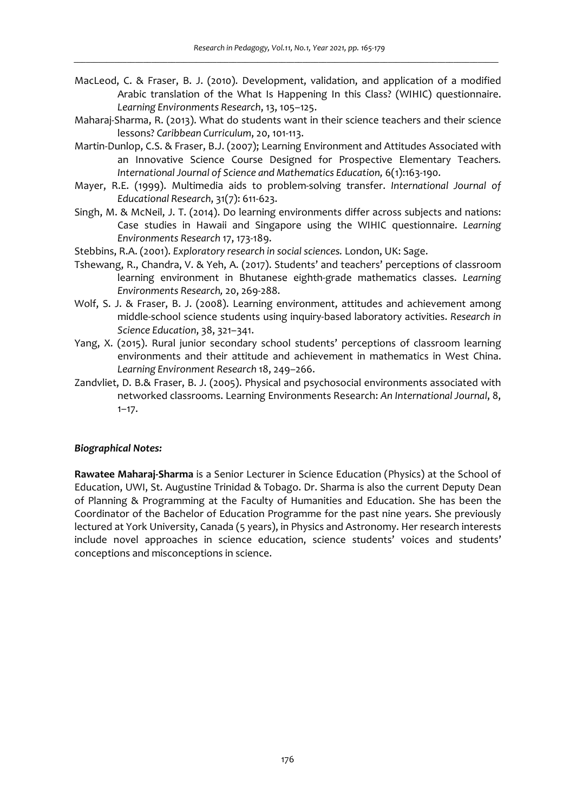- MacLeod, C. & Fraser, B. J. (2010). Development, validation, and application of a modified Arabic translation of the What Is Happening In this Class? (WIHIC) questionnaire. *Learning Environments Research*, 13, 105–125.
- Maharaj-Sharma, R. (2013). What do students want in their science teachers and their science lessons? *Caribbean Curriculum*, 20, 101-113.
- Martin-Dunlop, C.S. & Fraser, B.J. (2007); Learning Environment and Attitudes Associated with an Innovative Science Course Designed for Prospective Elementary Teachers*. International Journal of Science and Mathematics Education,* 6(1):163-190.
- Mayer, R.E. (1999). Multimedia aids to problem-solving transfer. *International Journal of Educational Research*, 31(7): 611-623.
- Singh, M. & McNeil, J. T. (2014). Do learning environments differ across subjects and nations: Case studies in Hawaii and Singapore using the WIHIC questionnaire. *Learning Environments Research* 17, 173-189.
- Stebbins, R.A. (2001). *Exploratory research in social sciences.* London, UK: Sage.
- Tshewang, R., Chandra, V. & Yeh, A. (2017). Students' and teachers' perceptions of classroom learning environment in Bhutanese eighth-grade mathematics classes. *Learning Environments Research,* 20, 269-288.
- Wolf, S. J. & Fraser, B. J. (2008). Learning environment, attitudes and achievement among middle-school science students using inquiry-based laboratory activities. *Research in Science Education*, 38, 321–341.
- Yang, X. (2015). Rural junior secondary school students' perceptions of classroom learning environments and their attitude and achievement in mathematics in West China. *Learning Environment Research* 18, 249–266.
- Zandvliet, D. B.& Fraser, B. J. (2005). Physical and psychosocial environments associated with networked classrooms. Learning Environments Research: *An International Journal*, 8,  $1 - 17.$

#### *Biographical Notes:*

**Rawatee Maharaj-Sharma** is a Senior Lecturer in Science Education (Physics) at the School of Education, UWI, St. Augustine Trinidad & Tobago. Dr. Sharma is also the current Deputy Dean of Planning & Programming at the Faculty of Humanities and Education. She has been the Coordinator of the Bachelor of Education Programme for the past nine years. She previously lectured at York University, Canada (5 years), in Physics and Astronomy. Her research interests include novel approaches in science education, science students' voices and students' conceptions and misconceptions in science.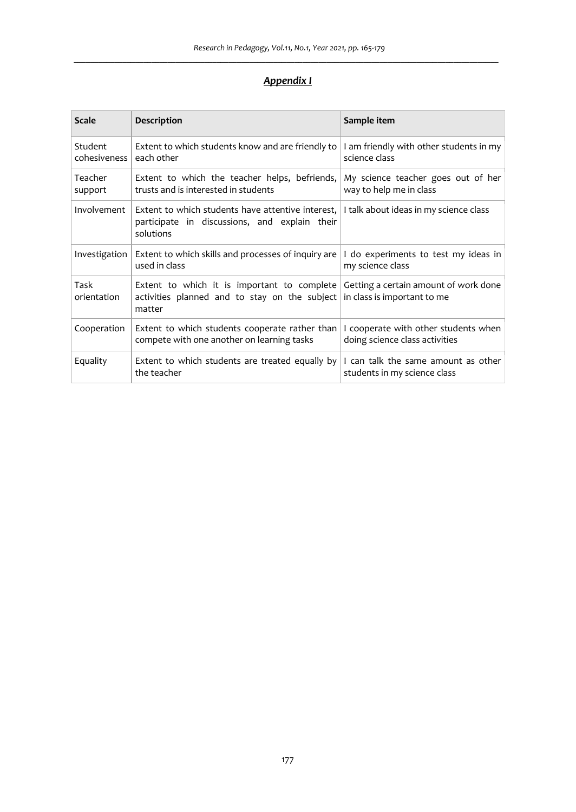# *Appendix I*

| <b>Scale</b>            | Description                                                                                                                                                              | Sample item                                                            |
|-------------------------|--------------------------------------------------------------------------------------------------------------------------------------------------------------------------|------------------------------------------------------------------------|
| Student<br>cohesiveness | Extent to which students know and are friendly to<br>each other                                                                                                          | I am friendly with other students in my<br>science class               |
| Teacher<br>support      | Extent to which the teacher helps, befriends,<br>trusts and is interested in students                                                                                    | My science teacher goes out of her<br>way to help me in class          |
| Involvement             | Extent to which students have attentive interest, I I talk about ideas in my science class<br>participate in discussions, and explain their<br>solutions                 |                                                                        |
| Investigation           | Extent to which skills and processes of inquiry are<br>used in class                                                                                                     | I do experiments to test my ideas in<br>my science class               |
| Task<br>orientation     | Extent to which it is important to complete Getting a certain amount of work done<br>activities planned and to stay on the subject in class is important to me<br>matter |                                                                        |
| Cooperation             | Extent to which students cooperate rather than<br>compete with one another on learning tasks                                                                             | I cooperate with other students when<br>doing science class activities |
| Equality                | Extent to which students are treated equally by<br>the teacher                                                                                                           | I can talk the same amount as other<br>students in my science class    |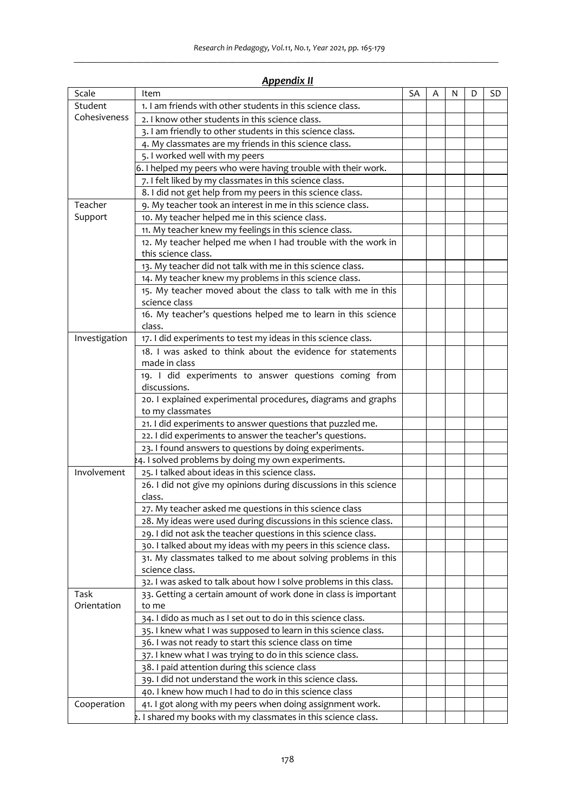|               | друсних н                                                         |    |   |   |   |    |
|---------------|-------------------------------------------------------------------|----|---|---|---|----|
| Scale         | Item                                                              | SA | Α | N | D | SD |
| Student       | 1. I am friends with other students in this science class.        |    |   |   |   |    |
| Cohesiveness  | 2. I know other students in this science class.                   |    |   |   |   |    |
|               | 3. I am friendly to other students in this science class.         |    |   |   |   |    |
|               | 4. My classmates are my friends in this science class.            |    |   |   |   |    |
|               | 5. I worked well with my peers                                    |    |   |   |   |    |
|               | 6. I helped my peers who were having trouble with their work.     |    |   |   |   |    |
|               | 7. I felt liked by my classmates in this science class.           |    |   |   |   |    |
|               | 8. I did not get help from my peers in this science class.        |    |   |   |   |    |
| Teacher       | 9. My teacher took an interest in me in this science class.       |    |   |   |   |    |
| Support       | 10. My teacher helped me in this science class.                   |    |   |   |   |    |
|               | 11. My teacher knew my feelings in this science class.            |    |   |   |   |    |
|               | 12. My teacher helped me when I had trouble with the work in      |    |   |   |   |    |
|               | this science class.                                               |    |   |   |   |    |
|               | 13. My teacher did not talk with me in this science class.        |    |   |   |   |    |
|               | 14. My teacher knew my problems in this science class.            |    |   |   |   |    |
|               | 15. My teacher moved about the class to talk with me in this      |    |   |   |   |    |
|               | science class                                                     |    |   |   |   |    |
|               | 16. My teacher's questions helped me to learn in this science     |    |   |   |   |    |
|               | class.                                                            |    |   |   |   |    |
| Investigation | 17. I did experiments to test my ideas in this science class.     |    |   |   |   |    |
|               | 18. I was asked to think about the evidence for statements        |    |   |   |   |    |
|               | made in class                                                     |    |   |   |   |    |
|               | 19. I did experiments to answer questions coming from             |    |   |   |   |    |
|               | discussions.                                                      |    |   |   |   |    |
|               | 20. I explained experimental procedures, diagrams and graphs      |    |   |   |   |    |
|               | to my classmates                                                  |    |   |   |   |    |
|               | 21. I did experiments to answer questions that puzzled me.        |    |   |   |   |    |
|               | 22. I did experiments to answer the teacher's questions.          |    |   |   |   |    |
|               | 23. I found answers to questions by doing experiments.            |    |   |   |   |    |
|               | 4. I solved problems by doing my own experiments.                 |    |   |   |   |    |
| Involvement   | 25. I talked about ideas in this science class.                   |    |   |   |   |    |
|               | 26. I did not give my opinions during discussions in this science |    |   |   |   |    |
|               | class.                                                            |    |   |   |   |    |
|               | 27. My teacher asked me questions in this science class           |    |   |   |   |    |
|               | 28. My ideas were used during discussions in this science class.  |    |   |   |   |    |
|               | 29. I did not ask the teacher questions in this science class.    |    |   |   |   |    |
|               | 30. I talked about my ideas with my peers in this science class.  |    |   |   |   |    |
|               | 31. My classmates talked to me about solving problems in this     |    |   |   |   |    |
|               | science class.                                                    |    |   |   |   |    |
|               | 32. I was asked to talk about how I solve problems in this class. |    |   |   |   |    |
| Task          | 33. Getting a certain amount of work done in class is important   |    |   |   |   |    |
| Orientation   | to me                                                             |    |   |   |   |    |
|               | 34. I dido as much as I set out to do in this science class.      |    |   |   |   |    |
|               | 35. I knew what I was supposed to learn in this science class.    |    |   |   |   |    |
|               | 36. I was not ready to start this science class on time           |    |   |   |   |    |
|               | 37. I knew what I was trying to do in this science class.         |    |   |   |   |    |
|               | 38. I paid attention during this science class                    |    |   |   |   |    |
|               | 39. I did not understand the work in this science class.          |    |   |   |   |    |
|               | 40. I knew how much I had to do in this science class             |    |   |   |   |    |
| Cooperation   | 41. I got along with my peers when doing assignment work.         |    |   |   |   |    |
|               | 2. I shared my books with my classmates in this science class.    |    |   |   |   |    |

# *Appendix II*